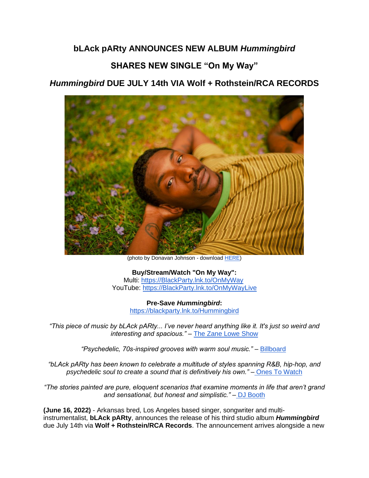## **bLAck pARty ANNOUNCES NEW ALBUM** *Hummingbird*

## **SHARES NEW SINGLE "On My Way"**

## *Hummingbird* **DUE JULY 14th VIA Wolf + Rothstein/RCA RECORDS**



(photo by Donavan Johnson - download [HERE\)](https://eur01.safelinks.protection.outlook.com/?url=https%3A%2F%2Fwww.dropbox.com%2Fs%2Fn9xqeo43z8owlib%2FHorizontal_Manny%2520Singh.jpeg%3Fdl%3D0&data=05%7C01%7Cnoelle.janasiewicz.sme%40sonymusic.com%7Ce42ff57716f9473848f508da507ddbcb%7Cf0aff3b791a54aaeaf71c63e1dda2049%7C0%7C0%7C637910798727163276%7CUnknown%7CTWFpbGZsb3d8eyJWIjoiMC4wLjAwMDAiLCJQIjoiV2luMzIiLCJBTiI6Ik1haWwiLCJXVCI6Mn0%3D%7C3000%7C%7C%7C&sdata=e2m%2BVyPge%2BRmJhTfIrjX2hXPzI7nOhKnYqdJvUtXVwo%3D&reserved=0)

**Buy/Stream/Watch "On My Way":** Multi: [https://BlackParty.lnk.to/OnMyWay](https://eur01.safelinks.protection.outlook.com/?url=https%3A%2F%2Fblackparty.lnk.to%2FOnMyWay&data=05%7C01%7Cnoelle.janasiewicz.sme%40sonymusic.com%7Ce42ff57716f9473848f508da507ddbcb%7Cf0aff3b791a54aaeaf71c63e1dda2049%7C0%7C0%7C637910798727163276%7CUnknown%7CTWFpbGZsb3d8eyJWIjoiMC4wLjAwMDAiLCJQIjoiV2luMzIiLCJBTiI6Ik1haWwiLCJXVCI6Mn0%3D%7C3000%7C%7C%7C&sdata=UYsbiUK2mKtnK4dN975RDbFTQ0Lu2EjwTiY%2FlZ%2BvGIs%3D&reserved=0) YouTube: [https://BlackParty.lnk.to/OnMyWayLive](https://eur01.safelinks.protection.outlook.com/?url=https%3A%2F%2Fblackparty.lnk.to%2FOnMyWayLive&data=05%7C01%7Cnoelle.janasiewicz.sme%40sonymusic.com%7Ce42ff57716f9473848f508da507ddbcb%7Cf0aff3b791a54aaeaf71c63e1dda2049%7C0%7C0%7C637910798727163276%7CUnknown%7CTWFpbGZsb3d8eyJWIjoiMC4wLjAwMDAiLCJQIjoiV2luMzIiLCJBTiI6Ik1haWwiLCJXVCI6Mn0%3D%7C3000%7C%7C%7C&sdata=PbIRE7svZO6Z8nGftDQ9UUNQxjTqEPN9qpc2iDBmuoo%3D&reserved=0)

> **Pre-Save** *Hummingbird***:** [https://blackparty.lnk.to/Hummingbird](https://eur01.safelinks.protection.outlook.com/?url=https%3A%2F%2Fblackparty.lnk.to%2FHummingbird&data=05%7C01%7Cnoelle.janasiewicz.sme%40sonymusic.com%7Ce42ff57716f9473848f508da507ddbcb%7Cf0aff3b791a54aaeaf71c63e1dda2049%7C0%7C0%7C637910798727163276%7CUnknown%7CTWFpbGZsb3d8eyJWIjoiMC4wLjAwMDAiLCJQIjoiV2luMzIiLCJBTiI6Ik1haWwiLCJXVCI6Mn0%3D%7C3000%7C%7C%7C&sdata=dHV8OQwtLOpHV1GT683VdE7d09YxVdm6fgVqHFiZqww%3D&reserved=0)

*"This piece of music by bLAck pARty... I've never heard anything like it. It's just so weird and interesting and spacious."* – [The Zane Lowe Show](https://eur01.safelinks.protection.outlook.com/?url=https%3A%2F%2Fmusic.apple.com%2Fus%2Fstation%2Fterrace-martin%2Fra.1592723166&data=05%7C01%7Cnoelle.janasiewicz.sme%40sonymusic.com%7Ce42ff57716f9473848f508da507ddbcb%7Cf0aff3b791a54aaeaf71c63e1dda2049%7C0%7C0%7C637910798727163276%7CUnknown%7CTWFpbGZsb3d8eyJWIjoiMC4wLjAwMDAiLCJQIjoiV2luMzIiLCJBTiI6Ik1haWwiLCJXVCI6Mn0%3D%7C3000%7C%7C%7C&sdata=1zJFkEV%2BZgLxArs30DN0kjJ6nZ3sxQnLTeiWBt7IHOI%3D&reserved=0)

*"Psychedelic, 70s-inspired grooves with warm soul music."* – [Billboard](https://eur01.safelinks.protection.outlook.com/?url=https%3A%2F%2Fwww.billboard.com%2Fmusic%2Frb-hip-hop%2Frb-hip-hop-fresh-picks-of-the-week-headie-one-mahalia-they-more-1235074319%2F&data=05%7C01%7Cnoelle.janasiewicz.sme%40sonymusic.com%7Ce42ff57716f9473848f508da507ddbcb%7Cf0aff3b791a54aaeaf71c63e1dda2049%7C0%7C0%7C637910798727163276%7CUnknown%7CTWFpbGZsb3d8eyJWIjoiMC4wLjAwMDAiLCJQIjoiV2luMzIiLCJBTiI6Ik1haWwiLCJXVCI6Mn0%3D%7C3000%7C%7C%7C&sdata=sDjjXYEC%2FDqJVlKhcDiYdUK7k%2ByH8O%2BX5gcMbkc34vQ%3D&reserved=0)

*"bLAck pARty has been known to celebrate a multitude of styles spanning R&B, hip-hop, and psychedelic soul to create a sound that is definitively his own."* – [Ones To Watch](https://eur01.safelinks.protection.outlook.com/?url=https%3A%2F%2Fwww.onestowatch.com%2Fblog%2Fwitness-the-dynamism-of-black-party-in-endless&data=05%7C01%7Cnoelle.janasiewicz.sme%40sonymusic.com%7Ce42ff57716f9473848f508da507ddbcb%7Cf0aff3b791a54aaeaf71c63e1dda2049%7C0%7C0%7C637910798727163276%7CUnknown%7CTWFpbGZsb3d8eyJWIjoiMC4wLjAwMDAiLCJQIjoiV2luMzIiLCJBTiI6Ik1haWwiLCJXVCI6Mn0%3D%7C3000%7C%7C%7C&sdata=PEthEPQS0ZKIJeRDO5w3DAtxUn5OJnpOUVqgr6CkTW4%3D&reserved=0)

*"The stories painted are pure, eloquent scenarios that examine moments in life that aren't grand and sensational, but honest and simplistic."* – [DJ Booth](https://eur01.safelinks.protection.outlook.com/?url=https%3A%2F%2Fdjbooth.net%2Ffeatures%2F2019-08-27-black-party-endless-summer-interview&data=05%7C01%7Cnoelle.janasiewicz.sme%40sonymusic.com%7Ce42ff57716f9473848f508da507ddbcb%7Cf0aff3b791a54aaeaf71c63e1dda2049%7C0%7C0%7C637910798727163276%7CUnknown%7CTWFpbGZsb3d8eyJWIjoiMC4wLjAwMDAiLCJQIjoiV2luMzIiLCJBTiI6Ik1haWwiLCJXVCI6Mn0%3D%7C3000%7C%7C%7C&sdata=WPIvfcinrendNpe%2B9uH08ODLqBtHo1p6WhYA6Lrol28%3D&reserved=0)

**(June 16, 2022)** - Arkansas bred, Los Angeles based singer, songwriter and multiinstrumentalist, **bLAck pARty**, announces the release of his third studio album *Hummingbird* due July 14th via **Wolf + Rothstein/RCA Records**. The announcement arrives alongside a new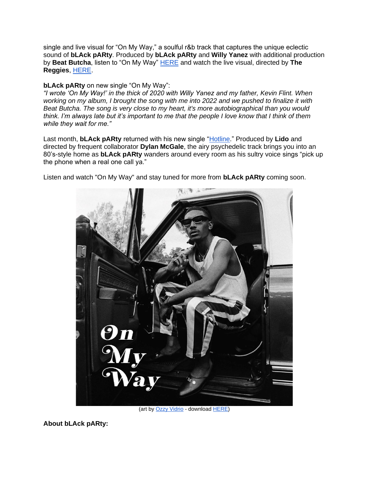single and live visual for "On My Way," a soulful r&b track that captures the unique eclectic sound of **bLAck pARty**. Produced by **bLAck pARty** and **Willy Yanez** with additional production by **Beat Butcha**, listen to "On My Way" [HERE](https://eur01.safelinks.protection.outlook.com/?url=https%3A%2F%2Fblackparty.lnk.to%2FOnMyWay&data=05%7C01%7Cnoelle.janasiewicz.sme%40sonymusic.com%7Ce42ff57716f9473848f508da507ddbcb%7Cf0aff3b791a54aaeaf71c63e1dda2049%7C0%7C0%7C637910798727163276%7CUnknown%7CTWFpbGZsb3d8eyJWIjoiMC4wLjAwMDAiLCJQIjoiV2luMzIiLCJBTiI6Ik1haWwiLCJXVCI6Mn0%3D%7C3000%7C%7C%7C&sdata=UYsbiUK2mKtnK4dN975RDbFTQ0Lu2EjwTiY%2FlZ%2BvGIs%3D&reserved=0) and watch the live visual, directed by **The Reggies**, [HERE.](https://eur01.safelinks.protection.outlook.com/?url=https%3A%2F%2Fblackparty.lnk.to%2FOnMyWayLive&data=05%7C01%7Cnoelle.janasiewicz.sme%40sonymusic.com%7Ce42ff57716f9473848f508da507ddbcb%7Cf0aff3b791a54aaeaf71c63e1dda2049%7C0%7C0%7C637910798727163276%7CUnknown%7CTWFpbGZsb3d8eyJWIjoiMC4wLjAwMDAiLCJQIjoiV2luMzIiLCJBTiI6Ik1haWwiLCJXVCI6Mn0%3D%7C3000%7C%7C%7C&sdata=PbIRE7svZO6Z8nGftDQ9UUNQxjTqEPN9qpc2iDBmuoo%3D&reserved=0)

## **bLAck pARty** on new single "On My Way":

*"I wrote 'On My Way!' in the thick of 2020 with Willy Yanez and my father, Kevin Flint. When working on my album, I brought the song with me into 2022 and we pushed to finalize it with Beat Butcha. The song is very close to my heart, it's more autobiographical than you would think. I'm always late but it's important to me that the people I love know that I think of them while they wait for me."*

Last month, **bLAck pARty** returned with his new single ["Hotline.](https://eur01.safelinks.protection.outlook.com/?url=https%3A%2F%2Fblackparty.lnk.to%2FHotlineVid&data=05%7C01%7Cnoelle.janasiewicz.sme%40sonymusic.com%7Ce42ff57716f9473848f508da507ddbcb%7Cf0aff3b791a54aaeaf71c63e1dda2049%7C0%7C0%7C637910798727163276%7CUnknown%7CTWFpbGZsb3d8eyJWIjoiMC4wLjAwMDAiLCJQIjoiV2luMzIiLCJBTiI6Ik1haWwiLCJXVCI6Mn0%3D%7C3000%7C%7C%7C&sdata=wLbbvZzp7UqZl9h3eQH5mDOsju464cxSBbJlR1oUYno%3D&reserved=0)" Produced by **Lido** and directed by frequent collaborator **Dylan McGale**, the airy psychedelic track brings you into an 80's-style home as **bLAck pARty** wanders around every room as his sultry voice sings "pick up the phone when a real one call ya."

Listen and watch "On My Way" and stay tuned for more from **bLAck pARty** coming soon.



(art b[y Ozzy Vidrio](https://eur01.safelinks.protection.outlook.com/?url=https%3A%2F%2Fwww.instagram.com%2Fvidrio_film%2F&data=05%7C01%7Cnoelle.janasiewicz.sme%40sonymusic.com%7Ce42ff57716f9473848f508da507ddbcb%7Cf0aff3b791a54aaeaf71c63e1dda2049%7C0%7C0%7C637910798727163276%7CUnknown%7CTWFpbGZsb3d8eyJWIjoiMC4wLjAwMDAiLCJQIjoiV2luMzIiLCJBTiI6Ik1haWwiLCJXVCI6Mn0%3D%7C3000%7C%7C%7C&sdata=IkvZh3IyjJ%2B52UoPE%2F8dXgKanHOyi9UhKX3Rb6t%2FieY%3D&reserved=0) - downloa[d HERE\)](https://eur01.safelinks.protection.outlook.com/?url=https%3A%2F%2Fwww.dropbox.com%2Fs%2Fdhgvoj3xzsvmwcw%2FOn%2520My%2520Way%2520Artwork.jpg%3Fdl%3D0&data=05%7C01%7Cnoelle.janasiewicz.sme%40sonymusic.com%7Ce42ff57716f9473848f508da507ddbcb%7Cf0aff3b791a54aaeaf71c63e1dda2049%7C0%7C0%7C637910798727163276%7CUnknown%7CTWFpbGZsb3d8eyJWIjoiMC4wLjAwMDAiLCJQIjoiV2luMzIiLCJBTiI6Ik1haWwiLCJXVCI6Mn0%3D%7C3000%7C%7C%7C&sdata=1r%2FU%2BQdDgUoC%2BwzWzbSalL%2BdUFAxll3KIXmvqdoZQGs%3D&reserved=0)

**About bLAck pARty:**